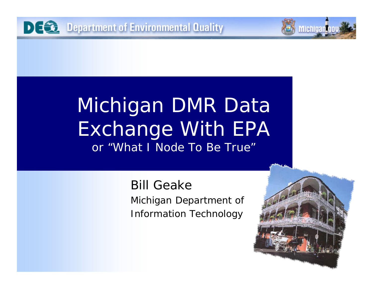

Bill GeakeMichigan Department of Information Technology

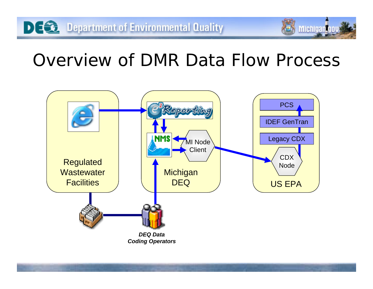# Overview of DMR Data Flow Process

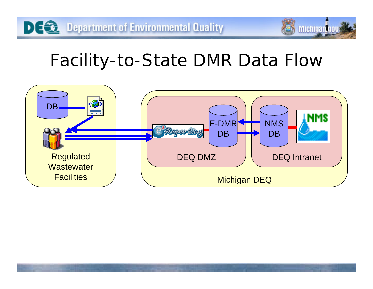# Facility-to-State DMR Data Flow

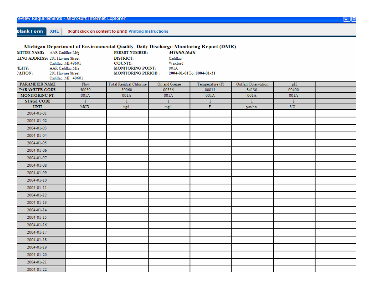**Blank Form** XML (Right click on content to print) Printing Instructions

#### Michigan Department of Environmental Quality Daily Discharge Monitoring Report (DMR)

| MITTEE NAME: AAR Cadillac Mfg<br>LING ADDRESS: 201 Haynes Street |                    | PERMIT NUMBER:<br><b>DISTRICT:</b> | MI0002640<br>Cadillac |                          |                     |       |  |
|------------------------------------------------------------------|--------------------|------------------------------------|-----------------------|--------------------------|---------------------|-------|--|
|                                                                  | Cadillac, MI 49601 | COUNTY:                            | Wexford               |                          |                     |       |  |
| <b>ILITY:</b><br>AAR Cadillac Mfg                                |                    | MONITORING POINT:                  | 001A                  |                          |                     |       |  |
| <b>CATION:</b>                                                   | 201 Haynes Street  | <b>MONITORING PERIOD:</b>          |                       | 2004-01-01To: 2004-01-31 |                     |       |  |
|                                                                  | Cadillac, MI 49601 |                                    |                       |                          |                     |       |  |
| PARAMETER NAME                                                   | Flow               | Total Residual Chlorine            | Oil and Grease        | Temperature (F)          | Outfall Observation | pH    |  |
| PARAMETER CODE                                                   | 50050              | 50060                              | 00556                 | 00011                    | 84130               | 00400 |  |
| MONITORING PT.                                                   | 001A               | 001A                               | 001A                  | 001A                     | 001A                | 001A  |  |
| <b>STAGE CODE</b>                                                | 1                  | 1                                  | $\mathbf{1}$          | -1                       | 1                   | 1     |  |
| <b>UNIT</b>                                                      | MGD                | ng/1                               | mg/1                  | $\mathbb F$              | yes/no              | S.U.  |  |
| 2004-01-01                                                       |                    |                                    |                       |                          |                     |       |  |
| 2004-01-02                                                       |                    |                                    |                       |                          |                     |       |  |
| 2004-01-03                                                       |                    |                                    |                       |                          |                     |       |  |
| 2004-01-04                                                       |                    |                                    |                       |                          |                     |       |  |
| 2004-01-05                                                       |                    |                                    |                       |                          |                     |       |  |
| 2004-01-06                                                       |                    |                                    |                       |                          |                     |       |  |
| 2004-01-07                                                       |                    |                                    |                       |                          |                     |       |  |
| 2004-01-08                                                       |                    |                                    |                       |                          |                     |       |  |
| 2004-01-09                                                       |                    |                                    |                       |                          |                     |       |  |
| 2004-01-10                                                       |                    |                                    |                       |                          |                     |       |  |
| 2004-01-11                                                       |                    |                                    |                       |                          |                     |       |  |
| 2004-01-12                                                       |                    |                                    |                       |                          |                     |       |  |
| 2004-01-13                                                       |                    |                                    |                       |                          |                     |       |  |
| 2004-01-14                                                       |                    |                                    |                       |                          |                     |       |  |
| 2004-01-15                                                       |                    |                                    |                       |                          |                     |       |  |
| 2004-01-16                                                       |                    |                                    |                       |                          |                     |       |  |
| 2004-01-17                                                       |                    |                                    |                       |                          |                     |       |  |
| 2004-01-18                                                       |                    |                                    |                       |                          |                     |       |  |
| 2004-01-19                                                       |                    |                                    |                       |                          |                     |       |  |
| 2004-01-20                                                       |                    |                                    |                       |                          |                     |       |  |
| 2004-01-21                                                       |                    |                                    |                       |                          |                     |       |  |
| 2004-01-22                                                       |                    |                                    |                       |                          |                     |       |  |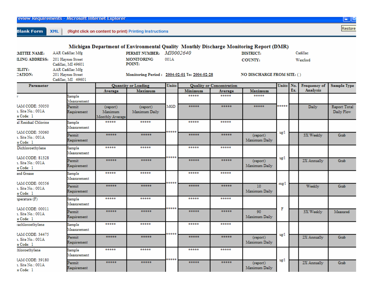| eview Requirements - Microsoft Internet Explorer |  |  |
|--------------------------------------------------|--|--|
|                                                  |  |  |

e Code: 1

**Blank Form** XML (Right click on content to print) Printing Instructions



|                                                   |                                                             |                                        | Michigan Department of Environmental Quality Monthly Discharge Monitoring Report (DMR) |       |         |                                 |                                   |            |     |              |                            |
|---------------------------------------------------|-------------------------------------------------------------|----------------------------------------|----------------------------------------------------------------------------------------|-------|---------|---------------------------------|-----------------------------------|------------|-----|--------------|----------------------------|
| <b>MITTEE NAME:</b>                               | AAR Cadillac Mfg                                            |                                        | PERMIT NUMBER: MI0002640                                                               |       |         |                                 | <b>DISTRICT:</b>                  |            |     | Cadillac     |                            |
| <b>LING ADDRESS:</b>                              | 201 Haynes Street<br>Cadillac, MI 49601                     |                                        | <b>MONITORING</b><br>POINT:                                                            | 001A  |         |                                 | <b>COUNTY:</b>                    |            |     | Wexford      |                            |
| ILITY:<br><b>CATION:</b>                          | AAR Cadillac Mfg<br>201 Haynes Street<br>Cadillac, MI 49601 |                                        | Monitoring Period: 2004-02-01 To: 2004-02-28                                           |       |         |                                 | <b>NO DISCHARGE FROM SITE: ()</b> |            |     |              |                            |
| Parameter                                         |                                                             |                                        | <b>Quantity or Loading</b>                                                             | Units |         | <b>Quality or Concentration</b> |                                   | Units No.  |     | Frequency of | <b>Sample Type</b>         |
|                                                   |                                                             | Average                                | Maximum                                                                                |       | Minimum | Average                         | Maximum                           |            | Ex. | Analysis     |                            |
|                                                   | Sample<br>Measurement                                       |                                        |                                                                                        |       | *****   | *****                           | *****                             |            |     |              |                            |
| :AM CODE: 50050<br>1. Site No.: 001A<br>e Code: 1 | Permit<br>Requirement                                       | (report)<br>Maximum<br>Monthly Average | (report)<br>Maximum Daily                                                              | MGD   | *****   | *****                           | *****                             | *****      |     | Daily.       | Report Total<br>Daily Flow |
| al Residual Chlorine<br>AM CODE: 50060            | Sample<br>Measurement                                       | *****                                  | *****                                                                                  | ***** | *****   | *****                           |                                   | vg/1       |     |              |                            |
| 1. Site No.: 001A<br>e Code: 1                    | Permit<br>Requirement                                       | *****                                  | *****                                                                                  |       | *****   | *****                           | (report)<br>Maximum Daily         |            |     | 3X Weekly    | Grab                       |
| Dichloroethylene<br>:AM CODE: 81328               | Sample<br>Measurement                                       | *****                                  | *****                                                                                  | ***** | *****   | *****                           |                                   | $u$ g/ $1$ |     |              |                            |
| 1. Site No.: 001A<br>e Code: 1                    | Permit<br>Requirement                                       | *****                                  | *****                                                                                  |       | *****   | *****                           | (report)<br>Maximum Daily         |            |     | 2X Annually  | Grab                       |
| ind Grease<br>:AM CODE: 00556                     | Sample<br>Measurement                                       | *****                                  | *****                                                                                  | ***** | *****   | *****                           |                                   |            |     |              |                            |
| 1. Site No.: 001A<br>e Code: 1                    | Permit<br>Requirement                                       | *****                                  | *****                                                                                  |       | *****   | *****                           | 10<br>Maximum Daily               | mg/1       |     | Weekly       | Grab                       |
| iperature (F)<br>AM CODE: 00011                   | Sample<br>Measurement                                       | *****                                  | *****                                                                                  | ***** | *****   | *****                           |                                   | F          |     |              |                            |
| 1. Site No.: 001A<br>e Code: 1                    | Permit<br>Requirement                                       | *****                                  | *****                                                                                  |       | *****   | *****                           | 90<br>Maximum Daily               |            |     | 3X Weekly    | Measured                   |
| achloroethylene                                   | Sample<br>Measurement                                       | *****                                  | *****                                                                                  | ***** | *****   | *****                           |                                   |            |     |              |                            |
| AM CODE: 34475<br>1. Site No.: 001A<br>e Code: 1  | Permit<br>Requirement                                       | *****                                  | *****                                                                                  |       | *****   | *****                           | (report)<br>Maximum Daily         | ug/1       |     | 2X Annually  | Grab                       |
| hloroethylene<br>AM CODE: 39180                   | Sample<br>Measurement                                       | *****                                  | *****                                                                                  | ***** | *****   | *****                           |                                   | ug/1       |     |              |                            |
| 1. Site No.: 001A<br>a Codar. 1 -                 | Permit<br>Requirement                                       | *****                                  | *****                                                                                  |       | *****   | *****                           | (report)<br>Maximum Daily         |            |     | 2X Annually  | Grab                       |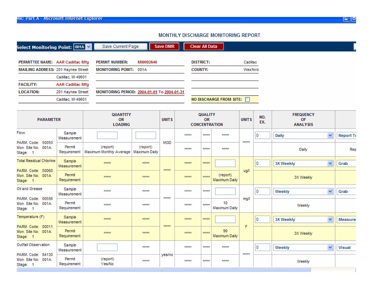#### MONTHLY DISCHARGE MONITORING REPORT

| Select Monitoring Point: $\boxed{001}$ A $\boxed{\vee}$                |                                               | Save Current Page                           |                                            | <b>Save DMR</b> | <b>Clear All Data</b> |                                                           |                           |       |            |                                                  |                  |
|------------------------------------------------------------------------|-----------------------------------------------|---------------------------------------------|--------------------------------------------|-----------------|-----------------------|-----------------------------------------------------------|---------------------------|-------|------------|--------------------------------------------------|------------------|
| PERMITTEE NAME: AAR Cadillac Mfg<br>MAILING ADDRESS: 201 Haynes Street |                                               | <b>PERMIT NUMBER:</b>                       | MI0002640<br><b>MONITORING POINT: 001A</b> |                 |                       | <b>DISTRICT:</b><br>Cadillac<br><b>COUNTY:</b><br>Wexford |                           |       |            |                                                  |                  |
| <b>FACILITY:</b>                                                       | Cadillac, MI 49601<br><b>AAR Cadillac Mfg</b> |                                             |                                            |                 |                       |                                                           |                           |       |            |                                                  |                  |
| <b>LOCATION:</b>                                                       | 201 Haynes Street<br>Cadillac, MI 49601       | MONITORING PERIOD: 2004-01-01 To 2004-01-31 |                                            |                 |                       |                                                           | NO DISCHARGE FROM SITE:   |       |            |                                                  |                  |
| <b>PARAMETER</b>                                                       |                                               | QUANTITY<br><b>OR</b><br><b>LOADING</b>     |                                            |                 |                       | <b>QUALITY</b><br><b>OR</b><br><b>CONCENTRATION</b>       |                           |       | NO.<br>EX. | <b>FREQUENCY</b><br><b>OF</b><br><b>ANALYSIS</b> |                  |
| Flow                                                                   | Sample<br>Measurement                         |                                             |                                            |                 | *****                 | *****                                                     | *****                     |       | Ю          | $\checkmark$<br>Daily                            | <b>Report To</b> |
| PARM. Code: 50050<br>Mon. Site No: 001A<br>Stage: 1                    | Permit<br>Requirement                         | (report)<br>Maximum Monthly Average         | (report)<br>Maximum Daily                  | MGD             | *****                 | *****                                                     | *****                     | ***** |            | Daily                                            | Rep              |
| <b>Total Residual Chlorine</b>                                         | Sample<br>Measurement                         | *****                                       | *****                                      |                 | *****                 | *****                                                     |                           |       | 0          | $\checkmark$<br><b>3X Weekly</b>                 | Grab             |
| PARM, Code: 50060<br>Mon. Site No: 001A<br>Stage: 1                    | Permit<br>Requirement                         | *****                                       | *****                                      | *****           | *****                 | *****                                                     | (report)<br>Maximum Daily | ug/l  |            | 3X Weekly                                        |                  |
| Oil and Grease                                                         | Sample<br>Measurement                         | *****                                       | *****                                      | *****           | $x + x + x$           | *****                                                     |                           |       | l0.        | $\checkmark$<br>Weekly                           | Grab             |
| PARM, Code: 00556<br>Mon. Site No: 001A<br>Stage: 1                    | Permit<br>Requirement                         | *****                                       | *****                                      |                 | *****                 | *****                                                     | 10<br>Maximum Daily       | mg/l  |            | Weekly                                           |                  |
| Temperature (F)                                                        | Sample<br>Measurement                         | *****                                       | *****                                      | *****           | *****                 | *****                                                     |                           |       | l0.        | $\checkmark$<br><b>3X Weekly</b>                 | <b>Measure</b>   |
| PARM. Code: 00011<br>Mon. Site No: 001A<br>Stage: 1                    | Permit<br>Requirement                         | *****                                       | *****                                      |                 | *****                 | *****                                                     | 90<br>Maximum Daily       | F     |            | 3X Weekly                                        |                  |
| Outfall Observation<br>PARM, Code: 84130                               | Sample<br>Measurement                         |                                             | *****                                      |                 | *****                 | *****                                                     | *****                     | ***** | 10         | $\checkmark$<br>Weekly                           | <b>Visual</b>    |
| Mon. Site No: 001A<br>Stage: 1                                         | Permit<br>Requirement                         | (report)<br>Yes/No                          | $+ + + + +$                                | yes/no          | *****                 | *****                                                     | $+ + + + +$               |       |            | Weekly                                           |                  |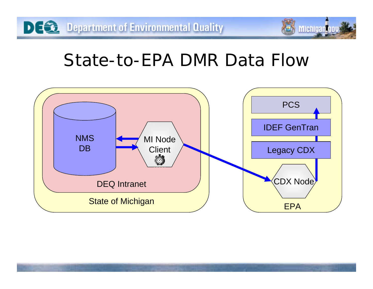### State-to-EPA DMR Data Flow

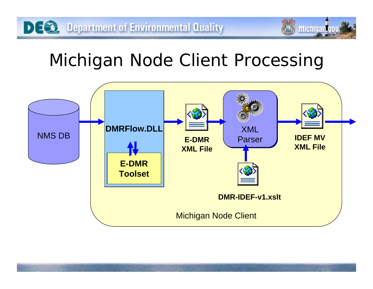## Michigan Node Client Processing

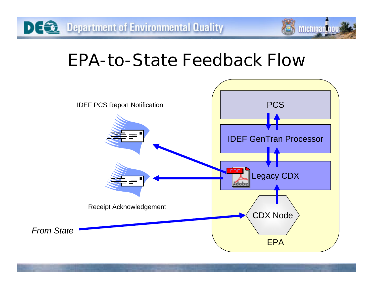### EPA-to-State Feedback Flow

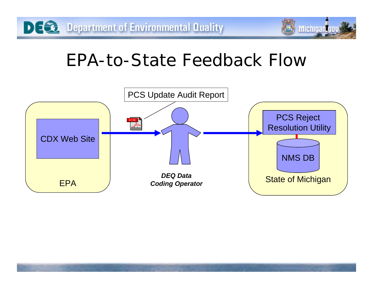

## EPA-to-State Feedback Flow

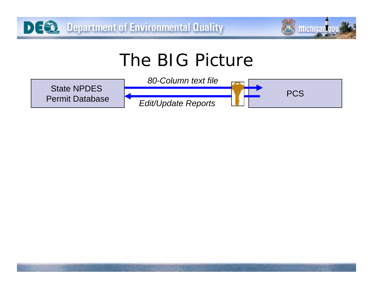

**PCS** 

## The BIG Picture

State NPDES Permit Database

*80-Column text file*

*Edit/Update Reports*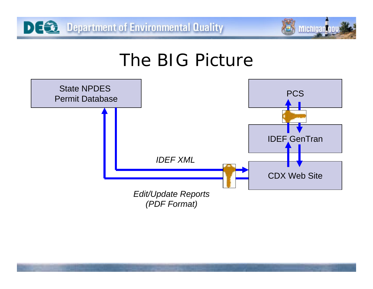DI:

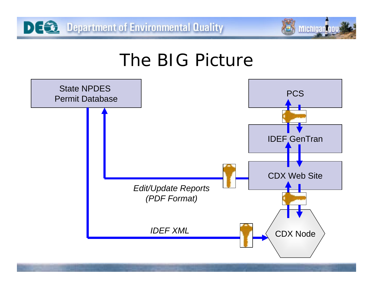DIE



#### The BIG Picture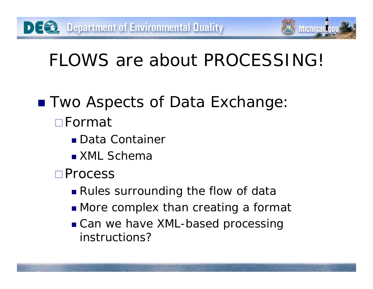# FLOWS are about PROCESSING!

**Michigan** 

- Two Aspects of Data Exchange: Format
	- Data Container
	- XML Schema
	- **□Process** 
		- Rules surrounding the flow of data
		- **More complex than creating a format**
		- Can we have XML-based processing instructions?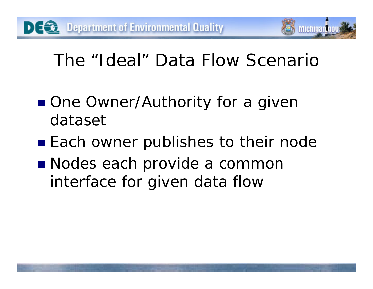# The "Ideal" Data Flow Scenario

Michigan

- One Owner/Authority for a given dataset
- Each owner publishes to their node
- Nodes each provide a common interface for given data flow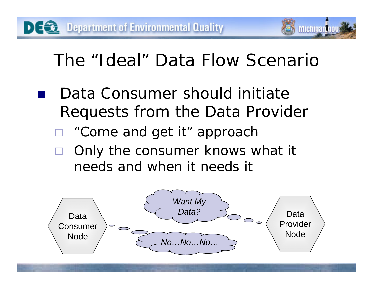# The "Ideal" Data Flow Scenario

**Michigania** 

- Data Consumer should initiate Requests from the Data Provider
	- "Come and get it" approach
	- Only the consumer knows what it needs and when it needs it

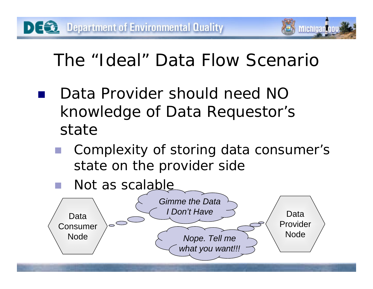# The "Ideal" Data Flow Scenario

- Data Provider should need NO knowledge of Data Requestor's state
	- Complexity of storing data consumer's state on the provider side
	- Not as scalable

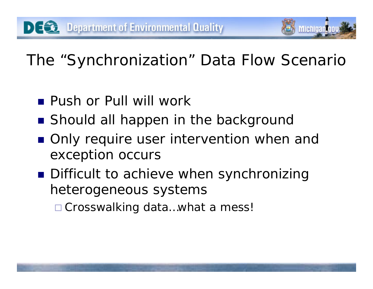# The "Synchronization" Data Flow Scenario

**Michigantu** 

- **Push or Pull will work**
- Should all happen in the background
- Only require user intervention when and exception occurs
- **Difficult to achieve when synchronizing** heterogeneous systems

□ Crosswalking data...what a mess!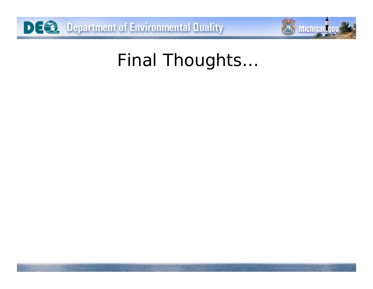



# Final Thoughts…